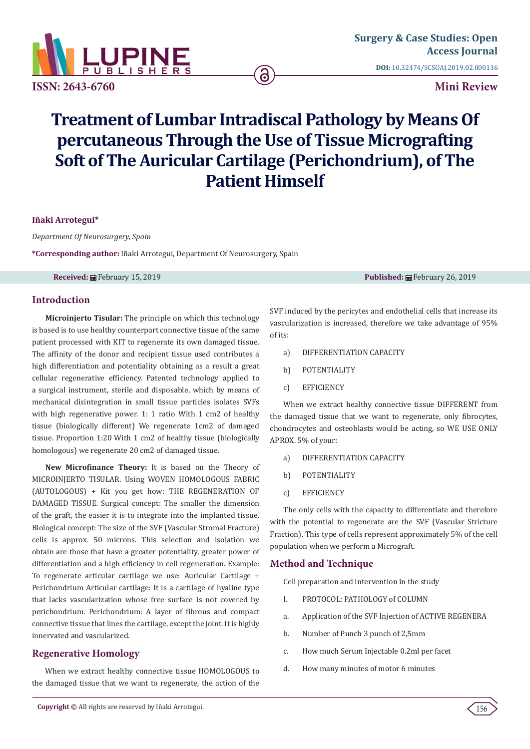

**ISSN: 2643-6760**

# **Mini Review**

# **Treatment of Lumbar Intradiscal Pathology by Means Of percutaneous Through the Use of Tissue Micrografting Soft of The Auricular Cartilage (Perichondrium), of The Patient Himself**

6

**Iñaki Arrotegui\*** 

*Department Of Neurosurgery, Spain*

**\*Corresponding author:** Iñaki Arrotegui, Department Of Neurosurgery, Spain

**Received:** February 15, 2019 **Published:** February 26, 2019

## **Introduction**

**Microinjerto Tisular:** The principle on which this technology is based is to use healthy counterpart connective tissue of the same patient processed with KIT to regenerate its own damaged tissue. The affinity of the donor and recipient tissue used contributes a high differentiation and potentiality obtaining as a result a great cellular regenerative efficiency. Patented technology applied to a surgical instrument, sterile and disposable, which by means of mechanical disintegration in small tissue particles isolates SVFs with high regenerative power. 1: 1 ratio With 1 cm2 of healthy tissue (biologically different) We regenerate 1cm2 of damaged tissue. Proportion 1:20 With 1 cm2 of healthy tissue (biologically homologous) we regenerate 20 cm2 of damaged tissue.

**New Microfinance Theory:** It is based on the Theory of MICROINJERTO TISULAR. Using WOVEN HOMOLOGOUS FABRIC (AUTOLOGOUS) + Kit you get how: THE REGENERATION OF DAMAGED TISSUE. Surgical concept: The smaller the dimension of the graft, the easier it is to integrate into the implanted tissue. Biological concept: The size of the SVF (Vascular Stromal Fracture) cells is approx. 50 microns. This selection and isolation we obtain are those that have a greater potentiality, greater power of differentiation and a high efficiency in cell regeneration. Example: To regenerate articular cartilage we use: Auricular Cartilage + Perichondrium Articular cartilage: It is a cartilage of hyaline type that lacks vascularization whose free surface is not covered by perichondrium. Perichondrium: A layer of fibrous and compact connective tissue that lines the cartilage, except the joint. It is highly innervated and vascularized.

## **Regenerative Homology**

When we extract healthy connective tissue HOMOLOGOUS to the damaged tissue that we want to regenerate, the action of the SVF induced by the pericytes and endothelial cells that increase its vascularization is increased, therefore we take advantage of 95% of its:

- a) DIFFERENTIATION CAPACITY
- b) POTENTIALITY
- c) EFFICIENCY

When we extract healthy connective tissue DIFFERENT from the damaged tissue that we want to regenerate, only fibrocytes, chondrocytes and osteoblasts would be acting, so WE USE ONLY APROX. 5% of your:

- a) DIFFERENTIATION CAPACITY
- b) POTENTIALITY
- c) EFFICIENCY

The only cells with the capacity to differentiate and therefore with the potential to regenerate are the SVF (Vascular Stricture Fraction). This type of cells represent approximately 5% of the cell population when we perform a Micrograft.

#### **Method and Technique**

Cell preparation and intervention in the study

- I. PROTOCOL: PATHOLOGY of COLUMN
- a. Application of the SVF Injection of ACTIVE REGENERA
- b. Number of Punch 3 punch of 2,5mm
- c. How much Serum Injectable 0.2ml per facet
- d. How many minutes of motor 6 minutes

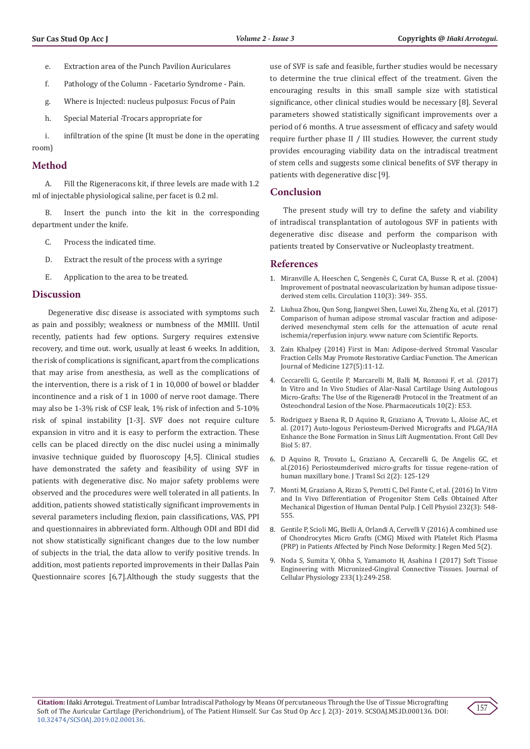- e. Extraction area of the Punch Pavilion Auriculares
- f. Pathology of the Column Facetario Syndrome Pain.
- g. Where is Injected: nucleus pulposus: Focus of Pain
- h. Special Material -Trocars appropriate for

i. infiltration of the spine (It must be done in the operating room)

#### **Method**

A. Fill the Rigeneracons kit, if three levels are made with 1.2 ml of injectable physiological saline, per facet is 0.2 ml.

B. Insert the punch into the kit in the corresponding department under the knife.

- C. Process the indicated time.
- D. Extract the result of the process with a syringe
- E. Application to the area to be treated.

#### **Discussion**

 Degenerative disc disease is associated with symptoms such as pain and possibly; weakness or numbness of the MMIII. Until recently, patients had few options. Surgery requires extensive recovery, and time out. work, usually at least 6 weeks. In addition, the risk of complications is significant, apart from the complications that may arise from anesthesia, as well as the complications of the intervention, there is a risk of 1 in 10,000 of bowel or bladder incontinence and a risk of 1 in 1000 of nerve root damage. There may also be 1-3% risk of CSF leak, 1% risk of infection and 5-10% risk of spinal instability [1-3]. SVF does not require culture expansion in vitro and it is easy to perform the extraction. These cells can be placed directly on the disc nuclei using a minimally invasive technique guided by fluoroscopy [4,5]. Clinical studies have demonstrated the safety and feasibility of using SVF in patients with degenerative disc. No major safety problems were observed and the procedures were well tolerated in all patients. In addition, patients showed statistically significant improvements in several parameters including flexion, pain classifications, VAS, PPI and questionnaires in abbreviated form. Although ODI and BDI did not show statistically significant changes due to the low number of subjects in the trial, the data allow to verify positive trends. In addition, most patients reported improvements in their Dallas Pain Questionnaire scores [6,7].Although the study suggests that the use of SVF is safe and feasible, further studies would be necessary to determine the true clinical effect of the treatment. Given the encouraging results in this small sample size with statistical significance, other clinical studies would be necessary [8]. Several parameters showed statistically significant improvements over a period of 6 months. A true assessment of efficacy and safety would require further phase II / III studies. However, the current study provides encouraging viability data on the intradiscal treatment of stem cells and suggests some clinical benefits of SVF therapy in patients with degenerative disc [9].

#### **Conclusion**

The present study will try to define the safety and viability of intradiscal transplantation of autologous SVF in patients with degenerative disc disease and perform the comparison with patients treated by Conservative or Nucleoplasty treatment.

#### **References**

- 1. [Miranville A, Heeschen C, Sengenès C, Curat CA, Busse R, et al. \(2004\)](https://www.ncbi.nlm.nih.gov/pubmed/15238461) [Improvement of postnatal neovascularization by human adipose tissue](https://www.ncbi.nlm.nih.gov/pubmed/15238461)[derived stem cells. Circulation 110\(3\): 349- 355.](https://www.ncbi.nlm.nih.gov/pubmed/15238461)
- 2. [Liuhua Zhou, Qun Song, Jiangwei Shen, Luwei Xu, Zheng Xu, et al. \(2017\)](https://www.nature.com/articles/srep44058) [Comparison of human adipose stromal vascular fraction and adipose](https://www.nature.com/articles/srep44058)[derived mesenchymal stem cells for the attenuation of acute renal](https://www.nature.com/articles/srep44058) [ischemia/reperfusion injury. www nature com Scientific Reports.](https://www.nature.com/articles/srep44058)
- 3. [Zain Khalpey \(2014\) First in Man: Adipose-derived Stromal Vascular](https://www.ncbi.nlm.nih.gov/pubmed/24758874) [Fraction Cells May Promote Restorative Cardiac Function. The American](https://www.ncbi.nlm.nih.gov/pubmed/24758874) [Journal of Medicine 127\(5\):11-12.](https://www.ncbi.nlm.nih.gov/pubmed/24758874)
- 4. [Ceccarelli G, Gentile P, Marcarelli M, Balli M, Ronzoni F, et al. \(2017\)](https://www.ncbi.nlm.nih.gov/pubmed/28608799) [In Vitro and In Vivo Studies of Alar-Nasal Cartilage Using Autologous](https://www.ncbi.nlm.nih.gov/pubmed/28608799) [Micro-Grafts: The Use of the Rigenera® Protocol in the Treatment of an](https://www.ncbi.nlm.nih.gov/pubmed/28608799) [Osteochondral Lesion of the Nose. Pharmaceuticals 10\(2\): E53.](https://www.ncbi.nlm.nih.gov/pubmed/28608799)
- 5. [Rodriguez y Baena R, D Aquino R, Graziano A, Trovato L, Aloise AC, et](https://www.ncbi.nlm.nih.gov/pmc/articles/PMC5623661/) [al. \(2017\) Auto-logous Periosteum-Derived Micrografts and PLGA/HA](https://www.ncbi.nlm.nih.gov/pmc/articles/PMC5623661/) [Enhance the Bone Formation in Sinus Lift Augmentation. Front Cell Dev](https://www.ncbi.nlm.nih.gov/pmc/articles/PMC5623661/) [Biol 5: 87.](https://www.ncbi.nlm.nih.gov/pmc/articles/PMC5623661/)
- 6. D Aquino R, Trovato L, Graziano A, Ceccarelli G, De Angelis GC, et al.(2016) Periosteumderived micro-grafts for tissue regene-ration of human maxillary bone. J Transl Sci 2(2): 125-129
- 7. [Monti M, Graziano A, Rizzo S, Perotti C, Del Fante C, et al. \(2016\) In Vitro](https://www.ncbi.nlm.nih.gov/pubmed/27277190) [and In Vivo Differentiation of Progenitor Stem Cells Obtained After](https://www.ncbi.nlm.nih.gov/pubmed/27277190) [Mechanical Digestion of Human Dental Pulp. J Cell Physiol 232\(3\): 548-](https://www.ncbi.nlm.nih.gov/pubmed/27277190) [555.](https://www.ncbi.nlm.nih.gov/pubmed/27277190)
- 8. [Gentile P, Scioli MG, Bielli A, Orlandi A, Cervelli V \(2016\) A combined use](https://www.scitechnol.com/peer-review/a-combined-use-of-chondrocytes-micro-grafts-cmg-mixed-with-platelet-rich-plasma-prp-in-patients-affected-by-pinch-nose-deformity-15B7.php?article_id=5404) [of Chondrocytes Micro Grafts \(CMG\) Mixed with Platelet Rich Plasma](https://www.scitechnol.com/peer-review/a-combined-use-of-chondrocytes-micro-grafts-cmg-mixed-with-platelet-rich-plasma-prp-in-patients-affected-by-pinch-nose-deformity-15B7.php?article_id=5404) [\(PRP\) in Patients Affected by Pinch Nose Deformity. J Regen Med 5\(2\).](https://www.scitechnol.com/peer-review/a-combined-use-of-chondrocytes-micro-grafts-cmg-mixed-with-platelet-rich-plasma-prp-in-patients-affected-by-pinch-nose-deformity-15B7.php?article_id=5404)
- 9. [Noda S, Sumita Y, Ohba S, Yamamoto H, Asahina I \(2017\) Soft Tissue](https://onlinelibrary.wiley.com/doi/full/10.1002/jcp.25871) [Engineering with Micronized-Gingival Connective Tissues. Journal of](https://onlinelibrary.wiley.com/doi/full/10.1002/jcp.25871) [Cellular Physiology 233\(1\):249-258.](https://onlinelibrary.wiley.com/doi/full/10.1002/jcp.25871)